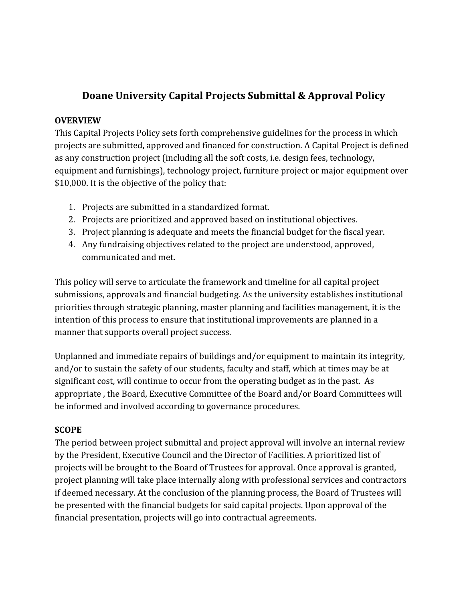# **Doane University Capital Projects Submittal & Approval Policy**

#### **OVERVIEW**

This Capital Projects Policy sets forth comprehensive guidelines for the process in which projects are submitted, approved and financed for construction. A Capital Project is defined as any construction project (including all the soft costs, i.e. design fees, technology, equipment and furnishings), technology project, furniture project or major equipment over \$10,000. It is the objective of the policy that:

- 1. Projects are submitted in a standardized format.
- 2. Projects are prioritized and approved based on institutional objectives.
- 3. Project planning is adequate and meets the financial budget for the fiscal year.
- 4. Any fundraising objectives related to the project are understood, approved, communicated and met.

This policy will serve to articulate the framework and timeline for all capital project submissions, approvals and financial budgeting. As the university establishes institutional priorities through strategic planning, master planning and facilities management, it is the intention of this process to ensure that institutional improvements are planned in a manner that supports overall project success.

Unplanned and immediate repairs of buildings and/or equipment to maintain its integrity, and/or to sustain the safety of our students, faculty and staff, which at times may be at significant cost, will continue to occur from the operating budget as in the past. As appropriate , the Board, Executive Committee of the Board and/or Board Committees will be informed and involved according to governance procedures.

## **SCOPE**

The period between project submittal and project approval will involve an internal review by the President, Executive Council and the Director of Facilities. A prioritized list of projects will be brought to the Board of Trustees for approval. Once approval is granted, project planning will take place internally along with professional services and contractors if deemed necessary. At the conclusion of the planning process, the Board of Trustees will be presented with the financial budgets for said capital projects. Upon approval of the financial presentation, projects will go into contractual agreements.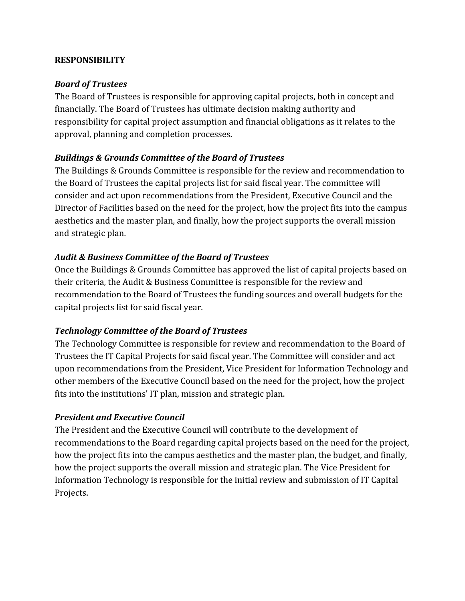#### **RESPONSIBILITY**

#### *Board of Trustees*

The Board of Trustees is responsible for approving capital projects, both in concept and financially. The Board of Trustees has ultimate decision making authority and responsibility for capital project assumption and financial obligations as it relates to the approval, planning and completion processes.

## *Buildings & Grounds Committee of the Board of Trustees*

The Buildings & Grounds Committee is responsible for the review and recommendation to the Board of Trustees the capital projects list for said fiscal year. The committee will consider and act upon recommendations from the President, Executive Council and the Director of Facilities based on the need for the project, how the project fits into the campus aesthetics and the master plan, and finally, how the project supports the overall mission and strategic plan.

## *Audit & Business Committee of the Board of Trustees*

Once the Buildings & Grounds Committee has approved the list of capital projects based on their criteria, the Audit & Business Committee is responsible for the review and recommendation to the Board of Trustees the funding sources and overall budgets for the capital projects list for said fiscal year.

## *Technology Committee of the Board of Trustees*

The Technology Committee is responsible for review and recommendation to the Board of Trustees the IT Capital Projects for said fiscal year. The Committee will consider and act upon recommendations from the President, Vice President for Information Technology and other members of the Executive Council based on the need for the project, how the project fits into the institutions' IT plan, mission and strategic plan.

## *President and Executive Council*

The President and the Executive Council will contribute to the development of recommendations to the Board regarding capital projects based on the need for the project, how the project fits into the campus aesthetics and the master plan, the budget, and finally, how the project supports the overall mission and strategic plan. The Vice President for Information Technology is responsible for the initial review and submission of IT Capital Projects.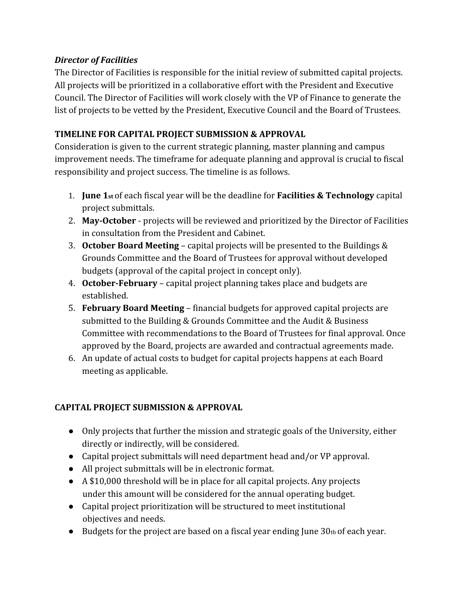## *Director of Facilities*

The Director of Facilities is responsible for the initial review of submitted capital projects. All projects will be prioritized in a collaborative effort with the President and Executive Council. The Director of Facilities will work closely with the VP of Finance to generate the list of projects to be vetted by the President, Executive Council and the Board of Trustees.

# **TIMELINE FOR CAPITAL PROJECT SUBMISSION & APPROVAL**

Consideration is given to the current strategic planning, master planning and campus improvement needs. The timeframe for adequate planning and approval is crucial to fiscal responsibility and project success. The timeline is as follows.

- 1. **June 1st** of each fiscal year will be the deadline for **Facilities & Technology** capital project submittals.
- 2. **May-October** projects will be reviewed and prioritized by the Director of Facilities in consultation from the President and Cabinet.
- 3. **October Board Meeting** capital projects will be presented to the Buildings & Grounds Committee and the Board of Trustees for approval without developed budgets (approval of the capital project in concept only).
- 4. **October-February** capital project planning takes place and budgets are established.
- 5. **February Board Meeting** financial budgets for approved capital projects are submitted to the Building & Grounds Committee and the Audit & Business Committee with recommendations to the Board of Trustees for final approval. Once approved by the Board, projects are awarded and contractual agreements made.
- 6. An update of actual costs to budget for capital projects happens at each Board meeting as applicable.

# **CAPITAL PROJECT SUBMISSION & APPROVAL**

- Only projects that further the mission and strategic goals of the University, either directly or indirectly, will be considered.
- Capital project submittals will need department head and/or VP approval.
- All project submittals will be in electronic format.
- A \$10,000 threshold will be in place for all capital projects. Any projects under this amount will be considered for the annual operating budget.
- Capital project prioritization will be structured to meet institutional objectives and needs.
- $\bullet$  Budgets for the project are based on a fiscal year ending June 30th of each year.